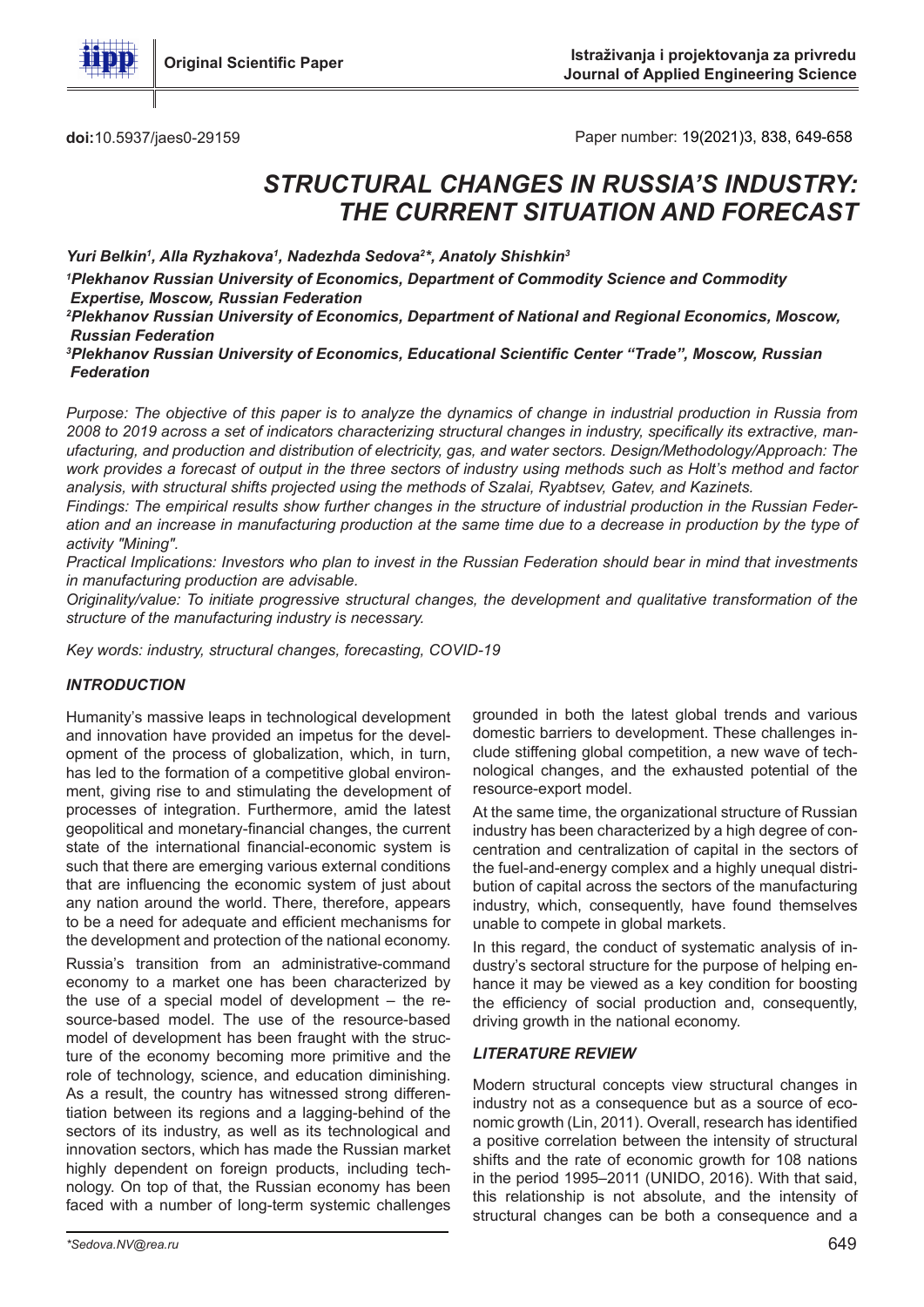

doi:10.5937/jaes0-29159 **doi:10.5937/jaes0-29159** Paper number: 19(2021)3, 838, 649-658

# *STRUCTURAL CHANGES IN RUSSIA'S INDUSTRY: THE CURRENT SITUATION AND FORECAST*

Yuri Belkin<sup>1</sup>, Alla Ryzhakova<sup>1</sup>, Nadezhda Sedova<sup>2\*</sup>, Anatoly Shishkin<sup>3</sup>

*1 Plekhanov Russian University of Economics, Department of Commodity Science and Commodity Expertise, Moscow, Russian Federation*

*2 Plekhanov Russian University of Economics, Department of National and Regional Economics, Moscow, Russian Federation*

*3 Plekhanov Russian University of Economics, Educational Scientific Center "Trade", Moscow, Russian Federation*

*Purpose: The objective of this paper is to analyze the dynamics of change in industrial production in Russia from 2008 to 2019 across a set of indicators characterizing structural changes in industry, specifically its extractive, manufacturing, and production and distribution of electricity, gas, and water sectors. Design/Methodology/Approach: The work provides a forecast of output in the three sectors of industry using methods such as Holt's method and factor analysis, with structural shifts projected using the methods of Szalai, Ryabtsev, Gatev, and Kazinets.*

*Findings: The empirical results show further changes in the structure of industrial production in the Russian Federation and an increase in manufacturing production at the same time due to a decrease in production by the type of activity "Mining".*

*Practical Implications: Investors who plan to invest in the Russian Federation should bear in mind that investments in manufacturing production are advisable.*

*Originality/value: To initiate progressive structural changes, the development and qualitative transformation of the structure of the manufacturing industry is necessary.*

*Key words: industry, structural changes, forecasting, COVID-19*

#### *INTRODUCTION*

Humanity's massive leaps in technological development and innovation have provided an impetus for the development of the process of globalization, which, in turn, has led to the formation of a competitive global environment, giving rise to and stimulating the development of processes of integration. Furthermore, amid the latest geopolitical and monetary-financial changes, the current state of the international financial-economic system is such that there are emerging various external conditions that are influencing the economic system of just about any nation around the world. There, therefore, appears to be a need for adequate and efficient mechanisms for the development and protection of the national economy.

Russia's transition from an administrative-command economy to a market one has been characterized by the use of a special model of development – the resource-based model. The use of the resource-based model of development has been fraught with the structure of the economy becoming more primitive and the role of technology, science, and education diminishing. As a result, the country has witnessed strong differentiation between its regions and a lagging-behind of the sectors of its industry, as well as its technological and innovation sectors, which has made the Russian market highly dependent on foreign products, including technology. On top of that, the Russian economy has been faced with a number of long-term systemic challenges

grounded in both the latest global trends and various domestic barriers to development. These challenges include stiffening global competition, a new wave of technological changes, and the exhausted potential of the resource-export model.

At the same time, the organizational structure of Russian industry has been characterized by a high degree of concentration and centralization of capital in the sectors of the fuel-and-energy complex and a highly unequal distribution of capital across the sectors of the manufacturing industry, which, consequently, have found themselves unable to compete in global markets.

In this regard, the conduct of systematic analysis of industry's sectoral structure for the purpose of helping enhance it may be viewed as a key condition for boosting the efficiency of social production and, consequently, driving growth in the national economy.

#### *LITERATURE REVIEW*

Modern structural concepts view structural changes in industry not as a consequence but as a source of economic growth (Lin, 2011). Overall, research has identified a positive correlation between the intensity of structural shifts and the rate of economic growth for 108 nations in the period 1995–2011 (UNIDO, 2016). With that said, this relationship is not absolute, and the intensity of structural changes can be both a consequence and a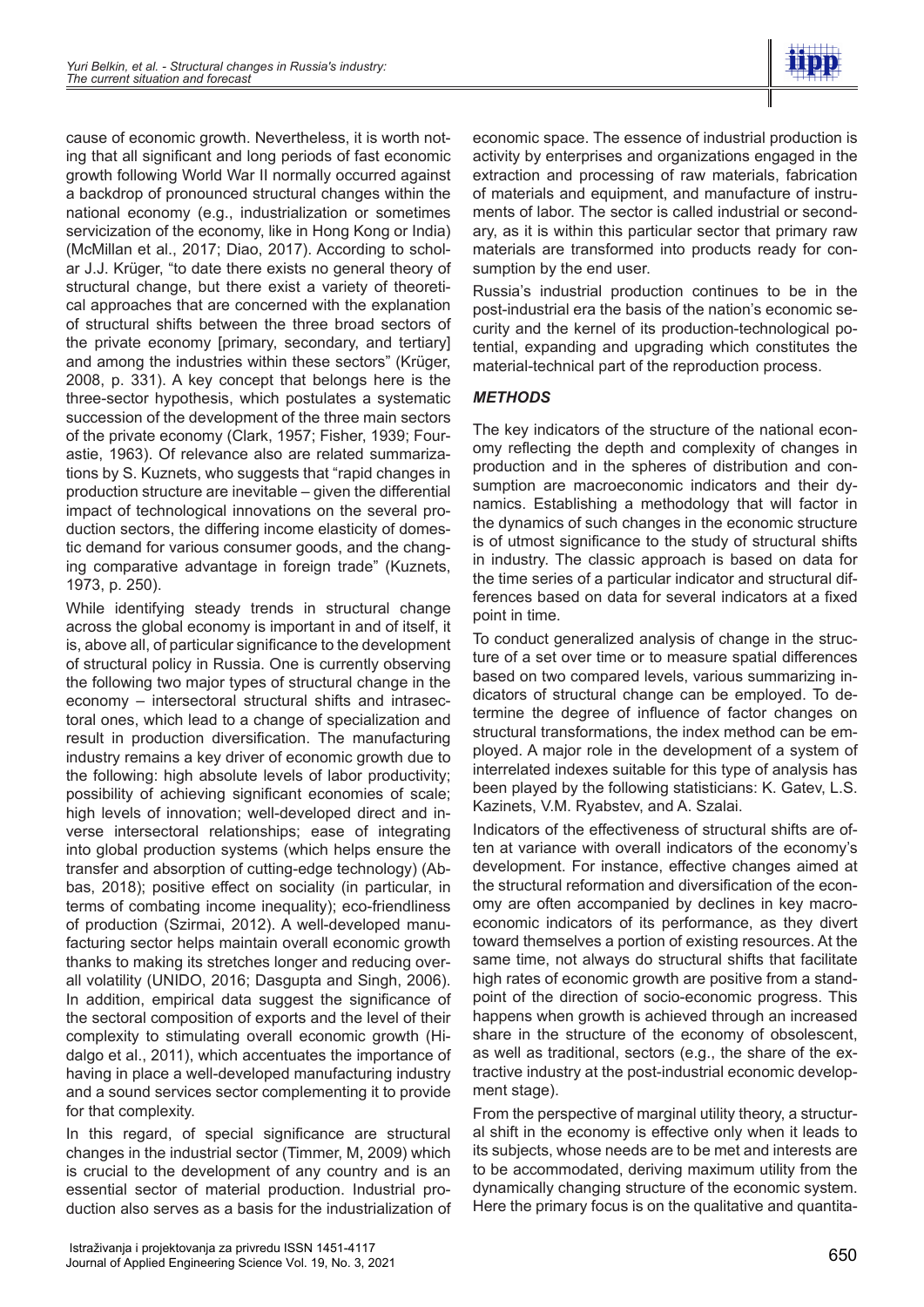

cause of economic growth. Nevertheless, it is worth noting that all significant and long periods of fast economic growth following World War II normally occurred against a backdrop of pronounced structural changes within the national economy (e.g., industrialization or sometimes servicization of the economy, like in Hong Kong or India) (McMillan et al., 2017; Diao, 2017). According to scholar J.J. Krüger, "to date there exists no general theory of structural change, but there exist a variety of theoretical approaches that are concerned with the explanation of structural shifts between the three broad sectors of the private economy [primary, secondary, and tertiary] and among the industries within these sectors" (Krüger, 2008, p. 331). A key concept that belongs here is the three-sector hypothesis, which postulates a systematic succession of the development of the three main sectors of the private economy (Clark, 1957; Fisher, 1939; Fourastie, 1963). Of relevance also are related summarizations by S. Kuznets, who suggests that "rapid changes in production structure are inevitable – given the differential impact of technological innovations on the several production sectors, the differing income elasticity of domestic demand for various consumer goods, and the changing comparative advantage in foreign trade" (Kuznets, 1973, p. 250).

While identifying steady trends in structural change across the global economy is important in and of itself, it is, above all, of particular significance to the development of structural policy in Russia. One is currently observing the following two major types of structural change in the economy – intersectoral structural shifts and intrasectoral ones, which lead to a change of specialization and result in production diversification. The manufacturing industry remains a key driver of economic growth due to the following: high absolute levels of labor productivity; possibility of achieving significant economies of scale; high levels of innovation; well-developed direct and inverse intersectoral relationships; ease of integrating into global production systems (which helps ensure the transfer and absorption of cutting-edge technology) (Abbas, 2018); positive effect on sociality (in particular, in terms of combating income inequality); eco-friendliness of production (Szirmai, 2012). A well-developed manufacturing sector helps maintain overall economic growth thanks to making its stretches longer and reducing overall volatility (UNIDO, 2016; Dasgupta and Singh, 2006). In addition, empirical data suggest the significance of the sectoral composition of exports and the level of their complexity to stimulating overall economic growth (Hidalgo et al., 2011), which accentuates the importance of having in place a well-developed manufacturing industry and a sound services sector complementing it to provide for that complexity.

In this regard, of special significance are structural changes in the industrial sector (Timmer, M, 2009) which is crucial to the development of any country and is an essential sector of material production. Industrial production also serves as a basis for the industrialization of

economic space. The essence of industrial production is activity by enterprises and organizations engaged in the extraction and processing of raw materials, fabrication of materials and equipment, and manufacture of instruments of labor. The sector is called industrial or secondary, as it is within this particular sector that primary raw materials are transformed into products ready for consumption by the end user.

Russia's industrial production continues to be in the post-industrial era the basis of the nation's economic security and the kernel of its production-technological potential, expanding and upgrading which constitutes the material-technical part of the reproduction process.

## *METHODS*

The key indicators of the structure of the national economy reflecting the depth and complexity of changes in production and in the spheres of distribution and consumption are macroeconomic indicators and their dynamics. Establishing a methodology that will factor in the dynamics of such changes in the economic structure is of utmost significance to the study of structural shifts in industry. The classic approach is based on data for the time series of a particular indicator and structural differences based on data for several indicators at a fixed point in time.

To conduct generalized analysis of change in the structure of a set over time or to measure spatial differences based on two compared levels, various summarizing indicators of structural change can be employed. To determine the degree of influence of factor changes on structural transformations, the index method can be employed. A major role in the development of a system of interrelated indexes suitable for this type of analysis has been played by the following statisticians: K. Gatev, L.S. Kazinets, V.M. Ryabstev, and A. Szalai.

Indicators of the effectiveness of structural shifts are often at variance with overall indicators of the economy's development. For instance, effective changes aimed at the structural reformation and diversification of the economy are often accompanied by declines in key macroeconomic indicators of its performance, as they divert toward themselves a portion of existing resources. At the same time, not always do structural shifts that facilitate high rates of economic growth are positive from a standpoint of the direction of socio-economic progress. This happens when growth is achieved through an increased share in the structure of the economy of obsolescent, as well as traditional, sectors (e.g., the share of the extractive industry at the post-industrial economic development stage).

From the perspective of marginal utility theory, a structural shift in the economy is effective only when it leads to its subjects, whose needs are to be met and interests are to be accommodated, deriving maximum utility from the dynamically changing structure of the economic system. Here the primary focus is on the qualitative and quantita-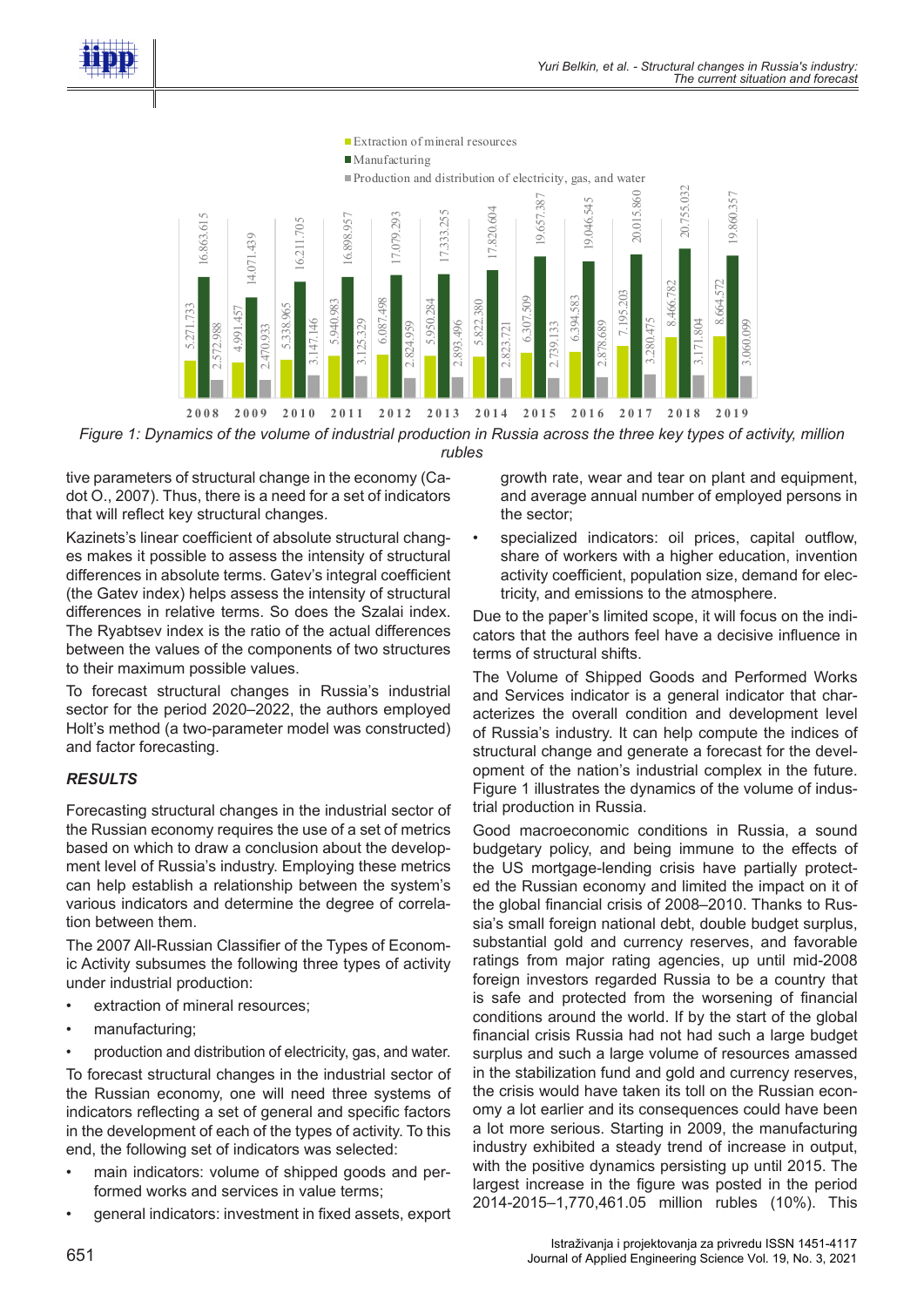





tive parameters of structural change in the economy (Cadot O., 2007). Thus, there is a need for a set of indicators that will reflect key structural changes.

Kazinets's linear coefficient of absolute structural changes makes it possible to assess the intensity of structural differences in absolute terms. Gatev's integral coefficient (the Gatev index) helps assess the intensity of structural differences in relative terms. So does the Szalai index. The Ryabtsev index is the ratio of the actual differences between the values of the components of two structures to their maximum possible values. For the Russian state of the value of the value of the value of the value of the value of the value of the value of the value of the same of the same of the same of the same of the same of the same of the same of the same

To forecast structural changes in Russia's industrial sector for the period 2020–2022, the authors employed Holt's method (a two-parameter model was constructed) and factor forecasting.

#### *RESULTS*

Forecasting structural changes in the industrial sector of the Russian economy requires the use of a set of metrics based on which to draw a conclusion about the development level of Russia's industry. Employing these metrics can help establish a relationship between the system's various indicators and determine the degree of correlation between them.

The 2007 All-Russian Classifier of the Types of Economic Activity subsumes the following three types of activity under industrial production:

- extraction of mineral resources;
- manufacturing;
- production and distribution of electricity, gas, and water.

To forecast structural changes in the industrial sector of the Russian economy, one will need three systems of indicators reflecting a set of general and specific factors in the development of each of the types of activity. To this end, the following set of indicators was selected:

- main indicators: volume of shipped goods and performed works and services in value terms;
- 

growth rate, wear and tear on plant and equipment, and average annual number of employed persons in the sector;

specialized indicators: oil prices, capital outflow, share of workers with a higher education, invention activity coefficient, population size, demand for electricity, and emissions to the atmosphere.

Due to the paper's limited scope, it will focus on the indicators that the authors feel have a decisive influence in terms of structural shifts.

The Volume of Shipped Goods and Performed Works and Services indicator is a general indicator that characterizes the overall condition and development level of Russia's industry. It can help compute the indices of structural change and generate a forecast for the development of the nation's industrial complex in the future. Figure 1 illustrates the dynamics of the volume of industrial production in Russia.

Good macroeconomic conditions in Russia, a sound budgetary policy, and being immune to the effects of the US mortgage-lending crisis have partially protected the Russian economy and limited the impact on it of the global financial crisis of 2008–2010. Thanks to Russia's small foreign national debt, double budget surplus, substantial gold and currency reserves, and favorable ratings from major rating agencies, up until mid-2008 foreign investors regarded Russia to be a country that is safe and protected from the worsening of financial conditions around the world. If by the start of the global financial crisis Russia had not had such a large budget surplus and such a large volume of resources amassed in the stabilization fund and gold and currency reserves, the crisis would have taken its toll on the Russian economy a lot earlier and its consequences could have been a lot more serious. Starting in 2009, the manufacturing industry exhibited a steady trend of increase in output, with the positive dynamics persisting up until 2015. The largest increase in the figure was posted in the period 2014-2015–1,770,461.05 million rubles (10%). This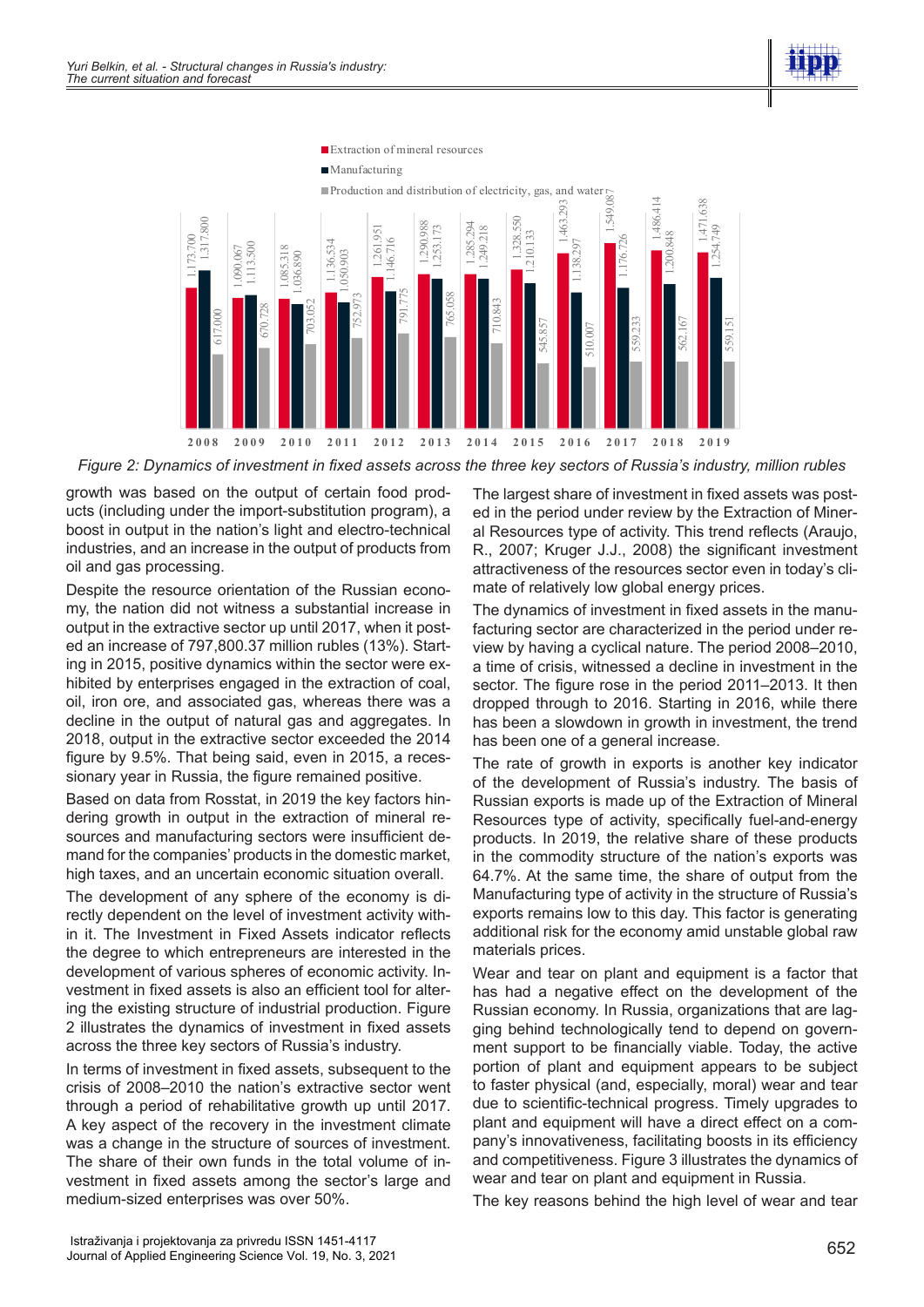



*Figure 2: Dynamics of investment in fixed assets across the three key sectors of Russia's industry, million rubles*

growth was based on the output of certain food products (including under the import-substitution program), a boost in output in the nation's light and electro-technical industries, and an increase in the output of products from oil and gas processing.

Despite the resource orientation of the Russian economy, the nation did not witness a substantial increase in output in the extractive sector up until 2017, when it posted an increase of 797,800.37 million rubles (13%). Starting in 2015, positive dynamics within the sector were exhibited by enterprises engaged in the extraction of coal, oil, iron ore, and associated gas, whereas there was a decline in the output of natural gas and aggregates. In 2018, output in the extractive sector exceeded the 2014 figure by 9.5%. That being said, even in 2015, a recessionary year in Russia, the figure remained positive.

Based on data from Rosstat, in 2019 the key factors hindering growth in output in the extraction of mineral resources and manufacturing sectors were insufficient demand for the companies' products in the domestic market, high taxes, and an uncertain economic situation overall.

The development of any sphere of the economy is directly dependent on the level of investment activity within it. The Investment in Fixed Assets indicator reflects the degree to which entrepreneurs are interested in the development of various spheres of economic activity. Investment in fixed assets is also an efficient tool for altering the existing structure of industrial production. Figure 2 illustrates the dynamics of investment in fixed assets across the three key sectors of Russia's industry.

In terms of investment in fixed assets, subsequent to the crisis of 2008–2010 the nation's extractive sector went through a period of rehabilitative growth up until 2017. A key aspect of the recovery in the investment climate was a change in the structure of sources of investment. The share of their own funds in the total volume of investment in fixed assets among the sector's large and medium-sized enterprises was over 50%.

The largest share of investment in fixed assets was posted in the period under review by the Extraction of Mineral Resources type of activity. This trend reflects (Araujo, R., 2007; Kruger J.J., 2008) the significant investment attractiveness of the resources sector even in today's climate of relatively low global energy prices.

The dynamics of investment in fixed assets in the manufacturing sector are characterized in the period under review by having a cyclical nature. The period 2008–2010, a time of crisis, witnessed a decline in investment in the sector. The figure rose in the period 2011–2013. It then dropped through to 2016. Starting in 2016, while there has been a slowdown in growth in investment, the trend has been one of a general increase.

The rate of growth in exports is another key indicator of the development of Russia's industry. The basis of Russian exports is made up of the Extraction of Mineral Resources type of activity, specifically fuel-and-energy products. In 2019, the relative share of these products in the commodity structure of the nation's exports was 64.7%. At the same time, the share of output from the Manufacturing type of activity in the structure of Russia's exports remains low to this day. This factor is generating additional risk for the economy amid unstable global raw materials prices.

Wear and tear on plant and equipment is a factor that has had a negative effect on the development of the Russian economy. In Russia, organizations that are lagging behind technologically tend to depend on government support to be financially viable. Today, the active portion of plant and equipment appears to be subject to faster physical (and, especially, moral) wear and tear due to scientific-technical progress. Timely upgrades to plant and equipment will have a direct effect on a company's innovativeness, facilitating boosts in its efficiency and competitiveness. Figure 3 illustrates the dynamics of wear and tear on plant and equipment in Russia.

The key reasons behind the high level of wear and tear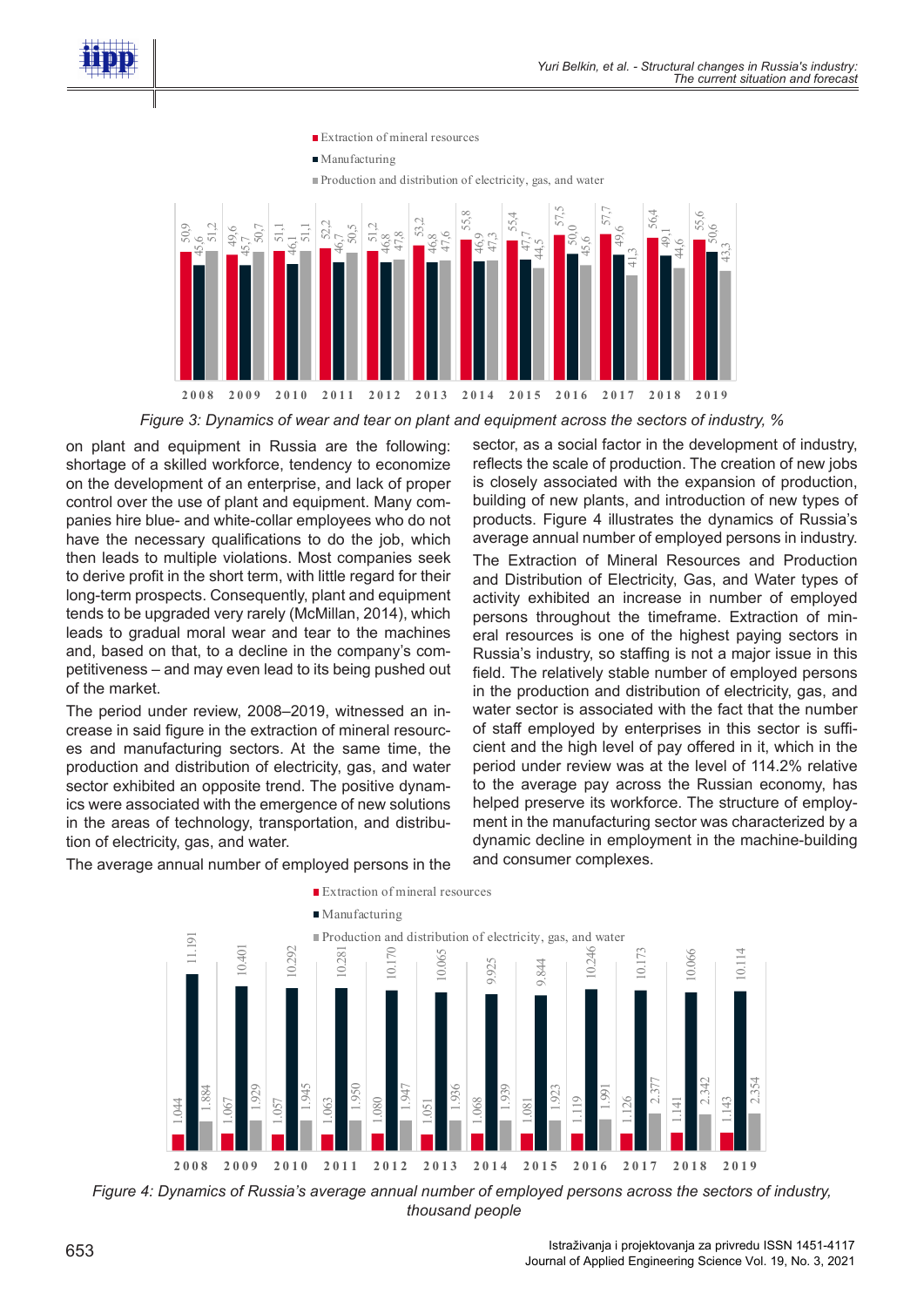



*Figure 3: Dynamics of wear and tear on plant and equipment across the sectors of industry, %*

on plant and equipment in Russia are the following: shortage of a skilled workforce, tendency to economize on the development of an enterprise, and lack of proper control over the use of plant and equipment. Many companies hire blue- and white-collar employees who do not have the necessary qualifications to do the job, which then leads to multiple violations. Most companies seek to derive profit in the short term, with little regard for their long-term prospects. Consequently, plant and equipment tends to be upgraded very rarely (McMillan, 2014), which leads to gradual moral wear and tear to the machines and, based on that, to a decline in the company's competitiveness – and may even lead to its being pushed out of the market.

The period under review, 2008–2019, witnessed an increase in said figure in the extraction of mineral resources and manufacturing sectors. At the same time, the production and distribution of electricity, gas, and water sector exhibited an opposite trend. The positive dynamics were associated with the emergence of new solutions in the areas of technology, transportation, and distribution of electricity, gas, and water.

The average annual number of employed persons in the

sector, as a social factor in the development of industry, reflects the scale of production. The creation of new jobs is closely associated with the expansion of production, building of new plants, and introduction of new types of products. Figure 4 illustrates the dynamics of Russia's average annual number of employed persons in industry.

The Extraction of Mineral Resources and Production and Distribution of Electricity, Gas, and Water types of activity exhibited an increase in number of employed persons throughout the timeframe. Extraction of mineral resources is one of the highest paying sectors in Russia's industry, so staffing is not a major issue in this field. The relatively stable number of employed persons in the production and distribution of electricity, gas, and water sector is associated with the fact that the number of staff employed by enterprises in this sector is sufficient and the high level of pay offered in it, which in the period under review was at the level of 114.2% relative to the average pay across the Russian economy, has helped preserve its workforce. The structure of employment in the manufacturing sector was characterized by a dynamic decline in employment in the machine-building and consumer complexes.



*Figure 4: Dynamics of Russia's average annual number of employed persons across the sectors of industry, thousand people*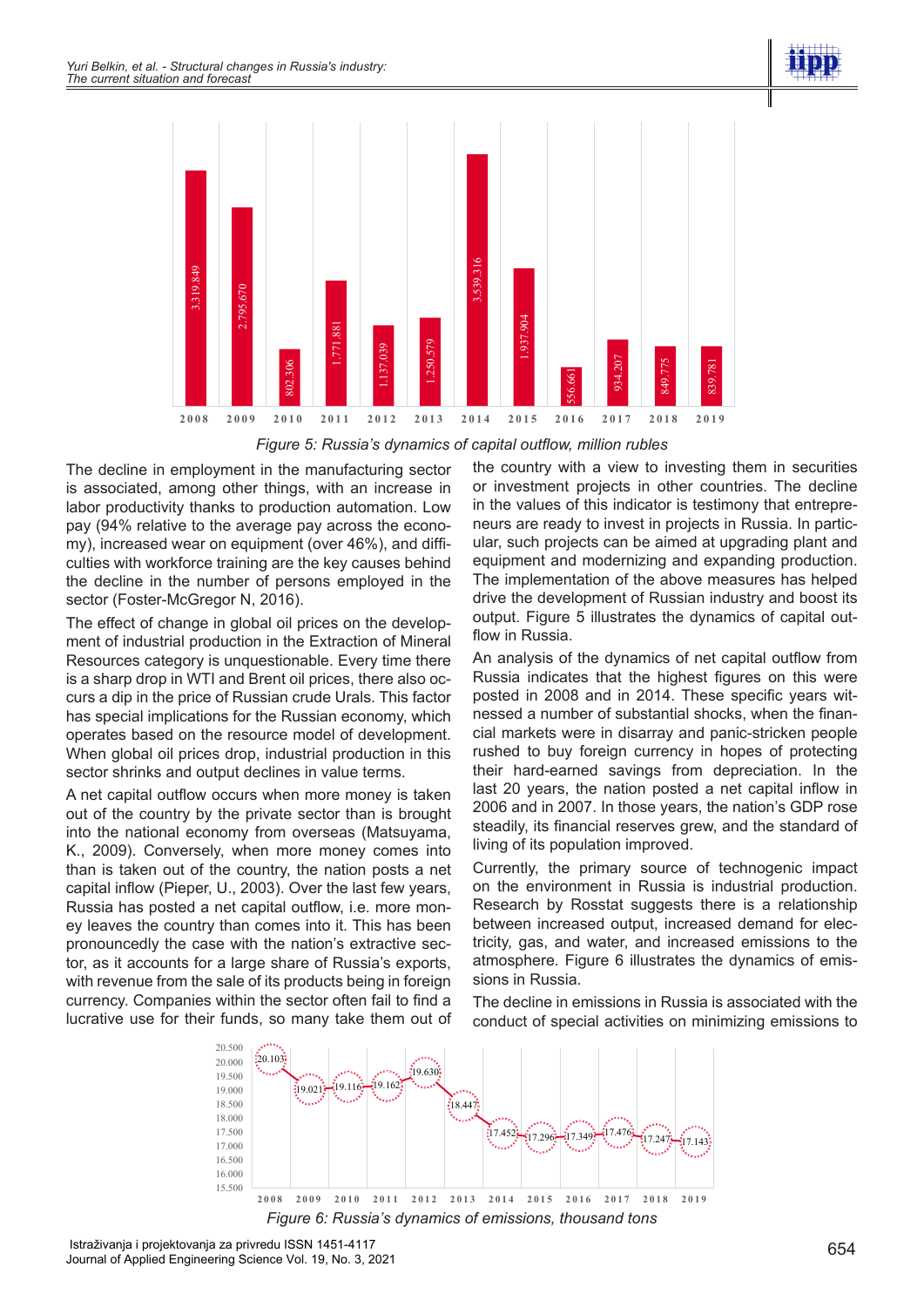

*Figure 5: Russia's dynamics of capital outflow, million rubles*

The decline in employment in the manufacturing sector is associated, among other things, with an increase in labor productivity thanks to production automation. Low pay (94% relative to the average pay across the economy), increased wear on equipment (over 46%), and difficulties with workforce training are the key causes behind the decline in the number of persons employed in the sector (Foster-McGregor N, 2016).

The effect of change in global oil prices on the development of industrial production in the Extraction of Mineral Resources category is unquestionable. Every time there is a sharp drop in WTI and Brent oil prices, there also occurs a dip in the price of Russian crude Urals. This factor has special implications for the Russian economy, which operates based on the resource model of development. When global oil prices drop, industrial production in this sector shrinks and output declines in value terms.

A net capital outflow occurs when more money is taken out of the country by the private sector than is brought into the national economy from overseas (Matsuyama, K., 2009). Conversely, when more money comes into than is taken out of the country, the nation posts a net capital inflow (Pieper, U., 2003). Over the last few years, Russia has posted a net capital outflow, i.e. more money leaves the country than comes into it. This has been pronouncedly the case with the nation's extractive sector, as it accounts for a large share of Russia's exports, with revenue from the sale of its products being in foreign currency. Companies within the sector often fail to find a lucrative use for their funds, so many take them out of

the country with a view to investing them in securities or investment projects in other countries. The decline in the values of this indicator is testimony that entrepreneurs are ready to invest in projects in Russia. In particular, such projects can be aimed at upgrading plant and equipment and modernizing and expanding production. The implementation of the above measures has helped drive the development of Russian industry and boost its output. Figure 5 illustrates the dynamics of capital outflow in Russia.

An analysis of the dynamics of net capital outflow from Russia indicates that the highest figures on this were posted in 2008 and in 2014. These specific years witnessed a number of substantial shocks, when the financial markets were in disarray and panic-stricken people rushed to buy foreign currency in hopes of protecting their hard-earned savings from depreciation. In the last 20 years, the nation posted a net capital inflow in 2006 and in 2007. In those years, the nation's GDP rose steadily, its financial reserves grew, and the standard of living of its population improved.

Currently, the primary source of technogenic impact on the environment in Russia is industrial production. Research by Rosstat suggests there is a relationship between increased output, increased demand for electricity, gas, and water, and increased emissions to the atmosphere. Figure 6 illustrates the dynamics of emissions in Russia.

The decline in emissions in Russia is associated with the conduct of special activities on minimizing emissions to



Istraživanja i projektovanja za privredu ISSN 1451-4117 Journal of Applied Engineering Science Vol. 19, No. 3, 2021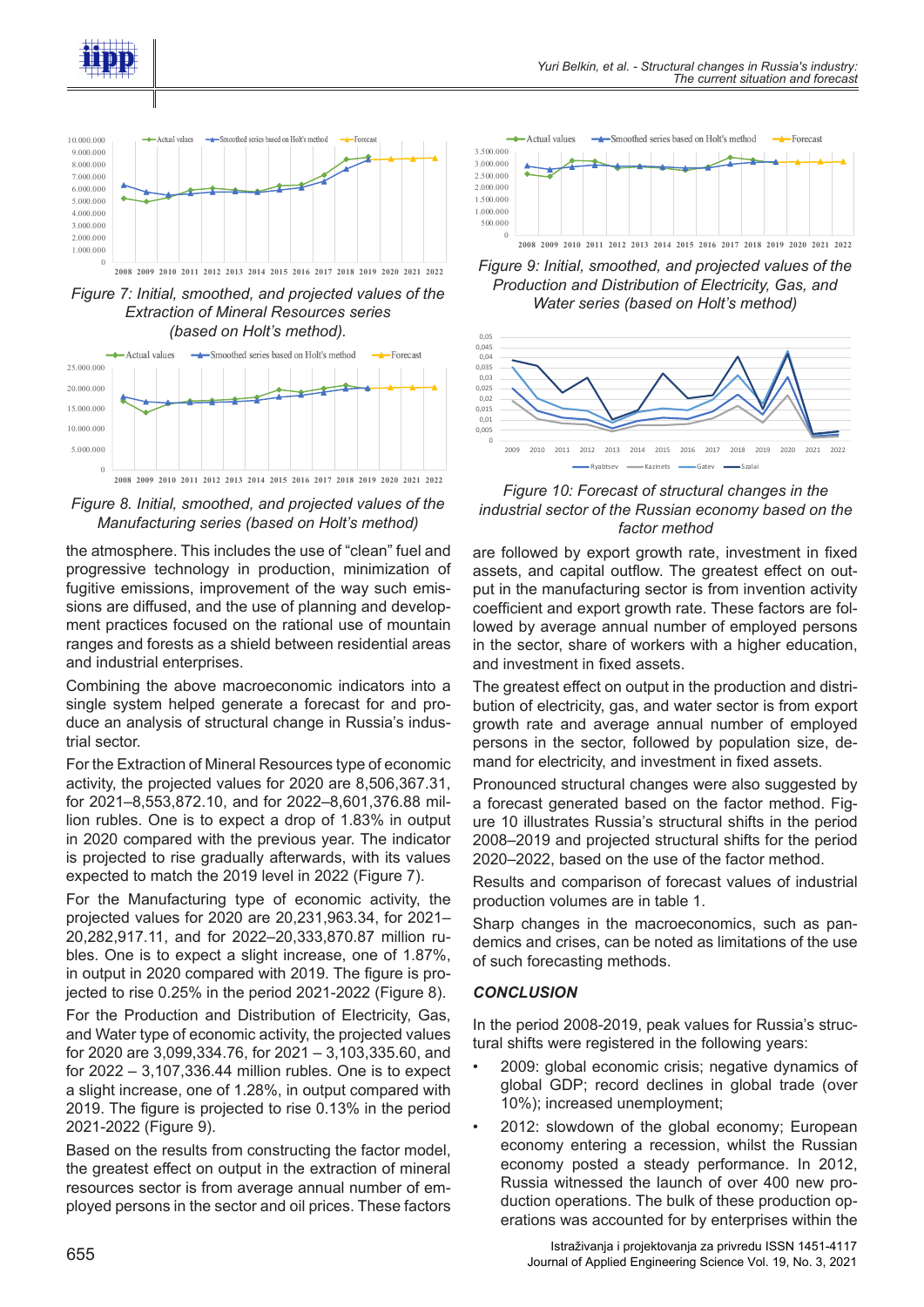



*Figure 7: Initial, smoothed, and projected values of the Extraction of Mineral Resources series (based on Holt's method).*



*Figure 8. Initial, smoothed, and projected values of the Manufacturing series (based on Holt's method)*

the atmosphere. This includes the use of "clean" fuel and progressive technology in production, minimization of fugitive emissions, improvement of the way such emissions are diffused, and the use of planning and development practices focused on the rational use of mountain ranges and forests as a shield between residential areas and industrial enterprises.

Combining the above macroeconomic indicators into a single system helped generate a forecast for and produce an analysis of structural change in Russia's industrial sector.

For the Extraction of Mineral Resources type of economic activity, the projected values for 2020 are 8,506,367.31, for 2021–8,553,872.10, and for 2022–8,601,376.88 million rubles. One is to expect a drop of 1.83% in output in 2020 compared with the previous year. The indicator is projected to rise gradually afterwards, with its values expected to match the 2019 level in 2022 (Figure 7).

For the Manufacturing type of economic activity, the projected values for 2020 are 20,231,963.34, for 2021– 20,282,917.11, and for 2022–20,333,870.87 million rubles. One is to expect a slight increase, one of 1.87%, in output in 2020 compared with 2019. The figure is projected to rise 0.25% in the period 2021-2022 (Figure 8).

For the Production and Distribution of Electricity, Gas, and Water type of economic activity, the projected values for 2020 are 3,099,334.76, for 2021 – 3,103,335.60, and for 2022 – 3,107,336.44 million rubles. One is to expect a slight increase, one of 1.28%, in output compared with 2019. The figure is projected to rise 0.13% in the period 2021-2022 (Figure 9).

Based on the results from constructing the factor model, the greatest effect on output in the extraction of mineral resources sector is from average annual number of employed persons in the sector and oil prices. These factors



*Figure 9: Initial, smoothed, and projected values of the Production and Distribution of Electricity, Gas, and Water series (based on Holt's method)*



*Figure 10: Forecast of structural changes in the industrial sector of the Russian economy based on the factor method*

are followed by export growth rate, investment in fixed assets, and capital outflow. The greatest effect on output in the manufacturing sector is from invention activity coefficient and export growth rate. These factors are followed by average annual number of employed persons in the sector, share of workers with a higher education, and investment in fixed assets.

The greatest effect on output in the production and distribution of electricity, gas, and water sector is from export growth rate and average annual number of employed persons in the sector, followed by population size, demand for electricity, and investment in fixed assets.

Pronounced structural changes were also suggested by a forecast generated based on the factor method. Figure 10 illustrates Russia's structural shifts in the period 2008–2019 and projected structural shifts for the period 2020–2022, based on the use of the factor method.

Results and comparison of forecast values of industrial production volumes are in table 1.

Sharp changes in the macroeconomics, such as pandemics and crises, can be noted as limitations of the use of such forecasting methods.

#### *CONCLUSION*

In the period 2008-2019, peak values for Russia's structural shifts were registered in the following years:

- 2009: global economic crisis; negative dynamics of global GDP; record declines in global trade (over 10%); increased unemployment;
- 2012: slowdown of the global economy; European economy entering a recession, whilst the Russian economy posted a steady performance. In 2012, Russia witnessed the launch of over 400 new production operations. The bulk of these production operations was accounted for by enterprises within the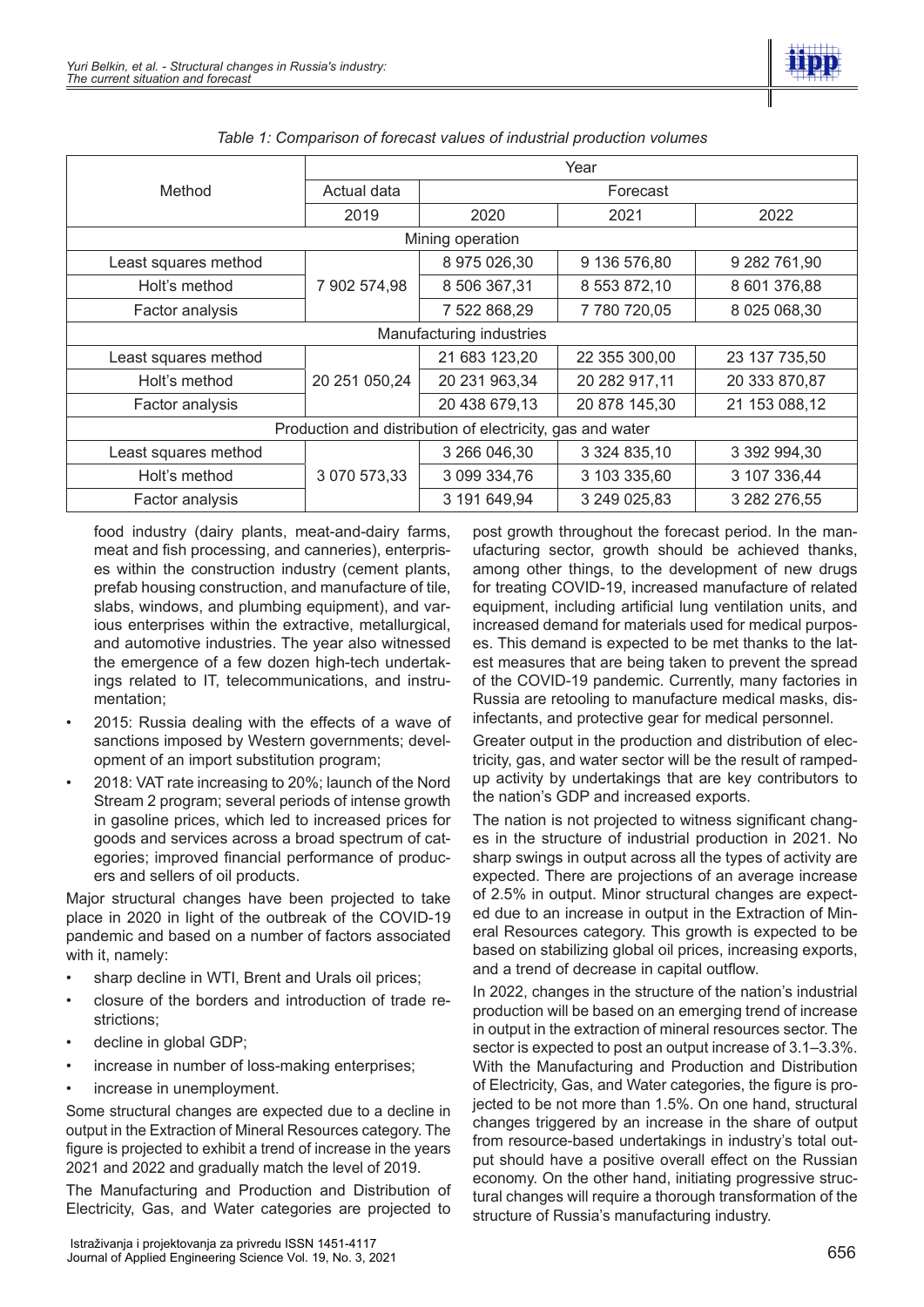

| Method                                                    | Year          |               |               |               |
|-----------------------------------------------------------|---------------|---------------|---------------|---------------|
|                                                           | Actual data   | Forecast      |               |               |
|                                                           | 2019          | 2020          | 2021          | 2022          |
| Mining operation                                          |               |               |               |               |
| Least squares method                                      | 7 902 574,98  | 8 975 026,30  | 9 136 576,80  | 9 282 761,90  |
| Holt's method                                             |               | 8 506 367,31  | 8 553 872,10  | 8 601 376,88  |
| Factor analysis                                           |               | 7 522 868,29  | 7 780 720,05  | 8 025 068,30  |
| Manufacturing industries                                  |               |               |               |               |
| Least squares method                                      | 20 251 050,24 | 21 683 123,20 | 22 355 300,00 | 23 137 735,50 |
| Holt's method                                             |               | 20 231 963,34 | 20 282 917,11 | 20 333 870,87 |
| Factor analysis                                           |               | 20 438 679,13 | 20 878 145,30 | 21 153 088,12 |
| Production and distribution of electricity, gas and water |               |               |               |               |
| Least squares method                                      | 3 070 573,33  | 3 266 046,30  | 3 324 835,10  | 3 392 994,30  |
| Holt's method                                             |               | 3 099 334,76  | 3 103 335,60  | 3 107 336,44  |
| Factor analysis                                           |               | 3 191 649,94  | 3 249 025,83  | 3 282 276,55  |

*Table 1: Comparison of forecast values of industrial production volumes*

food industry (dairy plants, meat-and-dairy farms, meat and fish processing, and canneries), enterprises within the construction industry (cement plants, prefab housing construction, and manufacture of tile, slabs, windows, and plumbing equipment), and various enterprises within the extractive, metallurgical, and automotive industries. The year also witnessed the emergence of a few dozen high-tech undertakings related to IT, telecommunications, and instrumentation;

- 2015: Russia dealing with the effects of a wave of sanctions imposed by Western governments; development of an import substitution program;
- 2018: VAT rate increasing to 20%; launch of the Nord Stream 2 program; several periods of intense growth in gasoline prices, which led to increased prices for goods and services across a broad spectrum of categories; improved financial performance of producers and sellers of oil products.

Major structural changes have been projected to take place in 2020 in light of the outbreak of the COVID-19 pandemic and based on a number of factors associated with it, namely:

- sharp decline in WTI, Brent and Urals oil prices;
- closure of the borders and introduction of trade restrictions;
- decline in global GDP;
- increase in number of loss-making enterprises;
- increase in unemployment.

Some structural changes are expected due to a decline in output in the Extraction of Mineral Resources category. The figure is projected to exhibit a trend of increase in the years 2021 and 2022 and gradually match the level of 2019.

The Manufacturing and Production and Distribution of Electricity, Gas, and Water categories are projected to

post growth throughout the forecast period. In the manufacturing sector, growth should be achieved thanks, among other things, to the development of new drugs for treating COVID-19, increased manufacture of related equipment, including artificial lung ventilation units, and increased demand for materials used for medical purposes. This demand is expected to be met thanks to the latest measures that are being taken to prevent the spread of the COVID-19 pandemic. Currently, many factories in Russia are retooling to manufacture medical masks, disinfectants, and protective gear for medical personnel.

Greater output in the production and distribution of electricity, gas, and water sector will be the result of rampedup activity by undertakings that are key contributors to the nation's GDP and increased exports.

The nation is not projected to witness significant changes in the structure of industrial production in 2021. No sharp swings in output across all the types of activity are expected. There are projections of an average increase of 2.5% in output. Minor structural changes are expected due to an increase in output in the Extraction of Mineral Resources category. This growth is expected to be based on stabilizing global oil prices, increasing exports, and a trend of decrease in capital outflow.

In 2022, changes in the structure of the nation's industrial production will be based on an emerging trend of increase in output in the extraction of mineral resources sector. The sector is expected to post an output increase of 3.1–3.3%. With the Manufacturing and Production and Distribution of Electricity, Gas, and Water categories, the figure is projected to be not more than 1.5%. On one hand, structural changes triggered by an increase in the share of output from resource-based undertakings in industry's total output should have a positive overall effect on the Russian economy. On the other hand, initiating progressive structural changes will require a thorough transformation of the structure of Russia's manufacturing industry.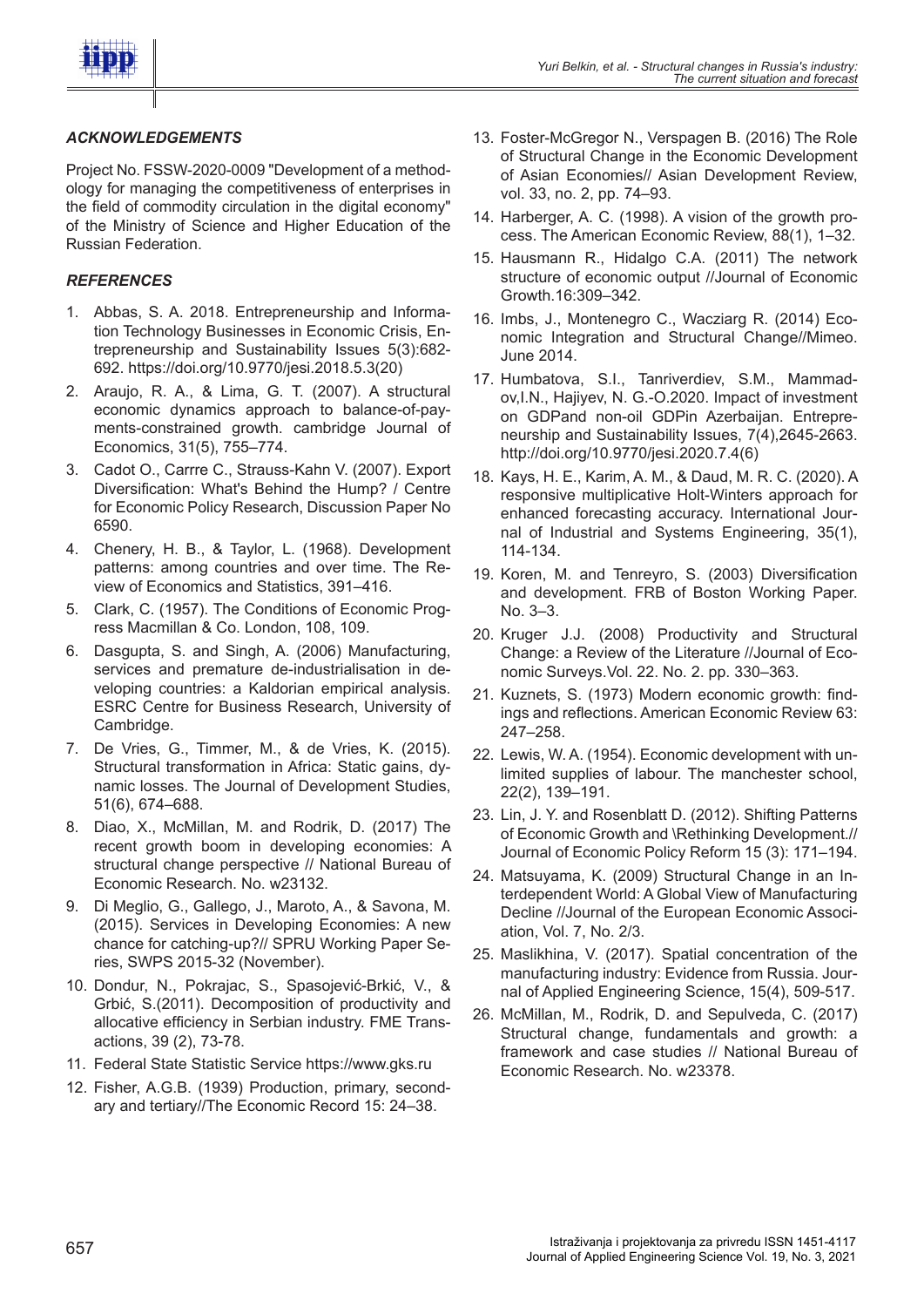

# *ACKNOWLEDGEMENTS*

Project No. FSSW-2020-0009 "Development of a methodology for managing the competitiveness of enterprises in the field of commodity circulation in the digital economy" of the Ministry of Science and Higher Education of the Russian Federation.

### *REFERENCES*

- 1. Abbas, S. A. 2018. Entrepreneurship and Information Technology Businesses in Economic Crisis, Entrepreneurship and Sustainability Issues 5(3):682- 692. https://doi.org/10.9770/jesi.2018.5.3(20)
- 2. Araujo, R. A., & Lima, G. T. (2007). A structural economic dynamics approach to balance-of-payments-constrained growth. cambridge Journal of Economics, 31(5), 755–774.
- 3. Cadot O., Carrre C., Strauss-Kahn V. (2007). Export Diversification: What's Behind the Hump? / Centre for Economic Policy Research, Discussion Paper No 6590.
- 4. Chenery, H. B., & Taylor, L. (1968). Development patterns: among countries and over time. The Review of Economics and Statistics, 391–416.
- 5. Clark, C. (1957). The Conditions of Economic Progress Macmillan & Co. London, 108, 109.
- 6. Dasgupta, S. and Singh, A. (2006) Manufacturing, services and premature de-industrialisation in developing countries: a Kaldorian empirical analysis. ESRC Centre for Business Research, University of Cambridge.
- 7. De Vries, G., Timmer, M., & de Vries, K. (2015). Structural transformation in Africa: Static gains, dynamic losses. The Journal of Development Studies, 51(6), 674–688.
- 8. Diao, X., McMillan, M. and Rodrik, D. (2017) The recent growth boom in developing economies: A structural change perspective // National Bureau of Economic Research. No. w23132.
- 9. Di Meglio, G., Gallego, J., Maroto, A., & Savona, M. (2015). Services in Developing Economies: A new chance for catching-up?// SPRU Working Paper Series, SWPS 2015-32 (November).
- 10. Dondur, N., Pokrajac, S., Spasojević-Brkić, V., & Grbić, S.(2011). Decomposition of productivity and allocative efficiency in Serbian industry. FME Transactions, 39 (2), 73-78.
- 11. Federal State Statistic Service https://www.gks.ru
- 12. Fisher, A.G.B. (1939) Production, primary, secondary and tertiary//The Economic Record 15: 24–38.
- 13. Foster-McGregor N., Verspagen B. (2016) The Role of Structural Change in the Economic Development of Asian Economies// Asian Development Review, vol. 33, no. 2, pp. 74–93.
- 14. Harberger, A. C. (1998). A vision of the growth process. The American Economic Review, 88(1), 1–32.
- 15. Hausmann R., Hidalgo C.A. (2011) The network structure of economic output //Journal of Economic Growth.16:309–342.
- 16. Imbs, J., Montenegro C., Wacziarg R. (2014) Economic Integration and Structural Change//Mimeo. June 2014.
- 17. Humbatova, S.I., Tanriverdiev, S.M., Mammadov,I.N., Hajiyev, N. G.-O.2020. Impact of investment on GDPand non-oil GDPin Azerbaijan. Entrepreneurship and Sustainability Issues, 7(4),2645-2663. http://doi.org/10.9770/jesi.2020.7.4(6)
- 18. Kays, H. E., Karim, A. M., & Daud, M. R. C. (2020). A responsive multiplicative Holt-Winters approach for enhanced forecasting accuracy. International Journal of Industrial and Systems Engineering, 35(1), 114-134.
- 19. Koren, M. and Tenreyro, S. (2003) Diversification and development. FRB of Boston Working Paper. No. 3–3.
- 20. Kruger J.J. (2008) Productivity and Structural Change: a Review of the Literature //Journal of Economic Surveys.Vol. 22. No. 2. pp. 330–363.
- 21. Kuznets, S. (1973) Modern economic growth: findings and reflections. American Economic Review 63: 247–258.
- 22. Lewis, W. A. (1954). Economic development with unlimited supplies of labour. The manchester school, 22(2), 139–191.
- 23. Lin, J. Y. and Rosenblatt D. (2012). Shifting Patterns of Economic Growth and \Rethinking Development.// Journal of Economic Policy Reform 15 (3): 171–194.
- 24. Matsuyama, K. (2009) Structural Change in an Interdependent World: A Global View of Manufacturing Decline //Journal of the European Economic Association, Vol. 7, No. 2/3.
- 25. Maslikhina, V. (2017). Spatial concentration of the manufacturing industry: Evidence from Russia. Journal of Applied Engineering Science, 15(4), 509-517.
- 26. McMillan, M., Rodrik, D. and Sepulveda, C. (2017) Structural change, fundamentals and growth: a framework and case studies // National Bureau of Economic Research. No. w23378.